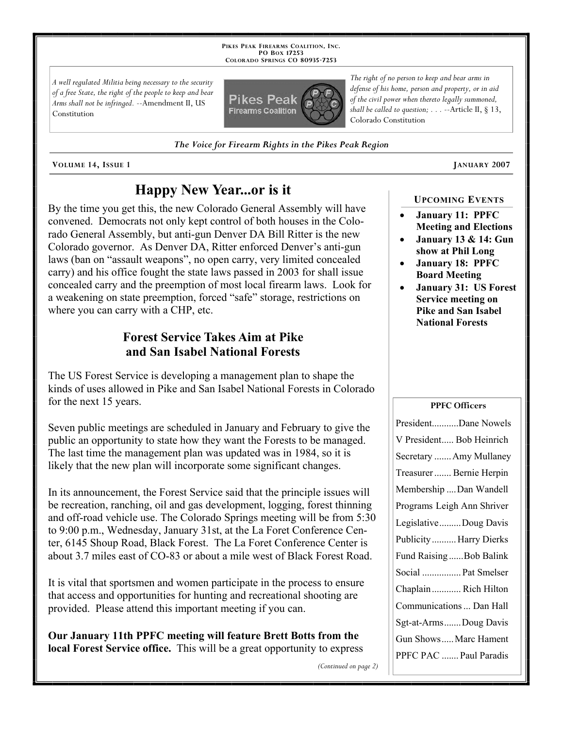**PIKES PEAK FIREARMS COALITION, INC. PO BOX 17253 COLORADO SPRINGS CO 80935 -7253**

*A well regulated Militia being necessary to the security of a free State, the right of the people to keep and bear Arms shall not be infringed.* --Amendment II, US Constitution



*The Voice for Firearm Rights in the Pikes Peak Region*

**VOLUME 14, ISSUE 1 JANUARY 2007**

# **Happy New Year...or is it**

By the time you get this, the new Colorado General Assembly will have convened. Democrats not only kept control of both houses in the Colorado General Assembly, but anti-gun Denver DA Bill Ritter is the new Colorado governor. As Denver DA, Ritter enforced Denver's anti-gun laws (ban on "assault weapons", no open carry, very limited concealed carry) and his office fought the state laws passed in 2003 for shall issue concealed carry and the preemption of most local firearm laws. Look for a weakening on state preemption, forced "safe" storage, restrictions on where you can carry with a CHP, etc.

## **Forest Service Takes Aim at Pike and San Isabel National Forests**

The US Forest Service is developing a management plan to shape the kinds of uses allowed in Pike and San Isabel National Forests in Colorado for the next 15 years.

Seven public meetings are scheduled in January and February to give the public an opportunity to state how they want the Forests to be managed. The last time the management plan was updated was in 1984, so it is likely that the new plan will incorporate some significant changes.

In its announcement, the Forest Service said that the principle issues will be recreation, ranching, oil and gas development, logging, forest thinning and off-road vehicle use. The Colorado Springs meeting will be from 5:30 to 9:00 p.m., Wednesday, January 31st, at the La Foret Conference Center, 6145 Shoup Road, Black Forest. The La Foret Conference Center is about 3.7 miles east of CO-83 or about a mile west of Black Forest Road.

It is vital that sportsmen and women participate in the process to ensure that access and opportunities for hunting and recreational shooting are provided. Please attend this important meeting if you can.

**Our January 11th PPFC meeting will feature Brett Botts from the local Forest Service office.** This will be a great opportunity to express

*The right of no person to keep and bear arms in defense of his home, person and property, or in aid of the civil power when thereto legally summoned, shall be called to question; . . .* --Article II, § 13, Colorado Constitution

### **UPCOMING EVENTS**

- **January 11: PPFC Meeting and Elections**
- **January 13 & 14: Gun show at Phil Long**
- **January 18: PPFC Board Meeting**
- **January 31: US Forest Service meeting on Pike and San Isabel National Forests**

### **PPFC Officers**

*(Continued on page 2)*